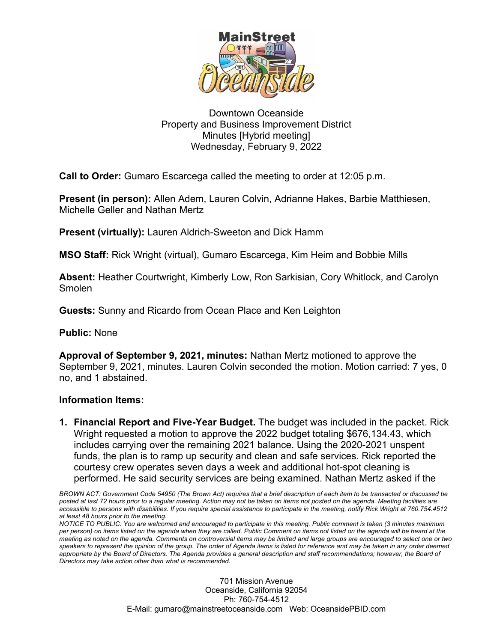

## Downtown Oceanside Property and Business Improvement District Minutes [Hybrid meeting] Wednesday, February 9, 2022

**Call to Order:** Gumaro Escarcega called the meeting to order at 12:05 p.m.

**Present (in person):** Allen Adem, Lauren Colvin, Adrianne Hakes, Barbie Matthiesen, Michelle Geller and Nathan Mertz

**Present (virtually):** Lauren Aldrich-Sweeton and Dick Hamm

**MSO Staff:** Rick Wright (virtual), Gumaro Escarcega, Kim Heim and Bobbie Mills

**Absent:** Heather Courtwright, Kimberly Low, Ron Sarkisian, Cory Whitlock, and Carolyn Smolen

**Guests:** Sunny and Ricardo from Ocean Place and Ken Leighton

**Public:** None

**Approval of September 9, 2021, minutes:** Nathan Mertz motioned to approve the September 9, 2021, minutes. Lauren Colvin seconded the motion. Motion carried: 7 yes, 0 no, and 1 abstained.

## **Information Items:**

**1. Financial Report and Five-Year Budget.** The budget was included in the packet. Rick Wright requested a motion to approve the 2022 budget totaling \$676,134.43, which includes carrying over the remaining 2021 balance. Using the 2020-2021 unspent funds, the plan is to ramp up security and clean and safe services. Rick reported the courtesy crew operates seven days a week and additional hot-spot cleaning is performed. He said security services are being examined. Nathan Mertz asked if the

*BROWN ACT: Government Code 54950 (The Brown Act) requires that a brief description of each item to be transacted or discussed be posted at last 72 hours prior to a regular meeting. Action may not be taken on items not posted on the agenda. Meeting facilities are accessible to persons with disabilities. If you require special assistance to participate in the meeting, notify Rick Wright at 760.754.4512 at least 48 hours prior to the meeting.*

*NOTICE TO PUBLIC: You are welcomed and encouraged to participate in this meeting. Public comment is taken (3 minutes maximum per person) on items listed on the agenda when they are called. Public Comment on items not listed on the agenda will be heard at the meeting as noted on the agenda. Comments on controversial items may be limited and large groups are encouraged to select one or two speakers to represent the opinion of the group. The order of Agenda items is listed for reference and may be taken in any order deemed*  appropriate by the Board of Directors. The Agenda provides a general description and staff recommendations; however, the Board of *Directors may take action other than what is recommended.*

> 701 Mission Avenue Oceanside, California 92054 Ph: 760-754-4512 E-Mail: gumaro@mainstreetoceanside.com Web: OceansidePBID.com